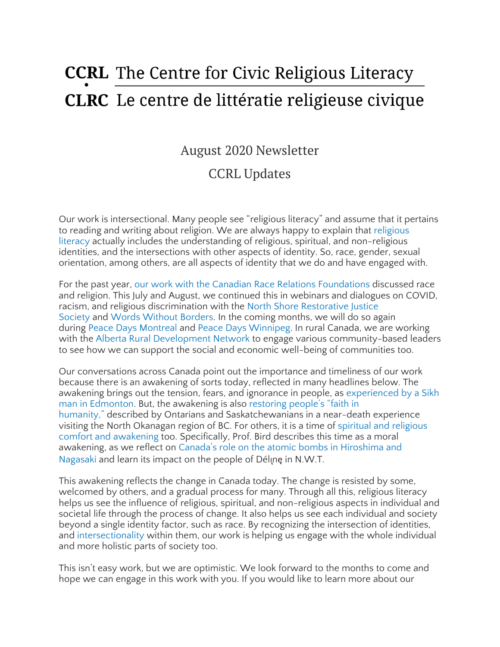# **CCRL** The Centre for Civic Religious Literacy **CLRC** Le centre de littératie religieuse civique

# August 2020 Newsletter

# CCRL Updates

Our work is intersectional. Many people see "religious literacy" and assume that it pertains to reading and writing about religion. We are always happy to explain that [religious](https://ccrl-clrc.ca/work/what-is-civic-religious-literacy/) [literacy](https://ccrl-clrc.ca/work/what-is-civic-religious-literacy/) actually includes the understanding of religious, spiritual, and non-religious identities, and the intersections with other aspects of identity. So, race, gender, sexual orientation, among others, are all aspects of identity that we do and have engaged with.

For the past year, our work with the Canadian Race Relations [Foundations](https://ccrl-clrc.ca/our-engagements/) discussed race and religion. This July and August, we continued this in webinars and dialogues on COVID, racism, and religious discrimination with the North Shore [Restorative](https://ccrl-clrc.ca/wp-content/uploads/2020/06/Poster_CD-on-racism-during-COVID-19_Jul-9-2020.pdf) Justice [Society](https://ccrl-clrc.ca/wp-content/uploads/2020/06/Poster_CD-on-racism-during-COVID-19_Jul-9-2020.pdf) and Words [Without](https://ccrl-clrc.ca/wp-content/uploads/2020/07/COVID-19-and-Racism.pdf) Borders. In the coming months, we will do so again during Peace Days [Montreal](https://thepeacedays.com/) and Peace Days [Winnipeg.](https://www.peacedays.ca/) In rural Canada, we are working with the Alberta Rural [Development](https://www.ardn.ca/) Network to engage various community-based leaders to see how we can support the social and economic well-being of communities too.

Our conversations across Canada point out the importance and timeliness of our work because there is an awakening of sorts today, reflected in many headlines below. The awakening brings out the tension, fears, and ignorance in people, as [experienced](https://dailyhive.com/vancouver/racist-rant-edmonton-liquor-store-refusing-wear-mask) by a Sikh man in [Edmonton.](https://dailyhive.com/vancouver/racist-rant-edmonton-liquor-store-refusing-wear-mask) But, the awakening is also [restoring](https://www.kelownacapnews.com/news/north-okanagan-restores-faith-in-humanity-for-houseboat-fire-victims/) people's "faith in [humanity,"](https://www.kelownacapnews.com/news/north-okanagan-restores-faith-in-humanity-for-houseboat-fire-victims/) described by Ontarians and Saskatchewanians in a near-death experience visiting the North Okanagan region of BC. For others, it is a time of spiritual and [religious](https://www.cbc.ca/news/canada/saskatchewan/pandemic-religion-saskatchewan-1.5675519) comfort and [awakening](https://www.cbc.ca/news/canada/saskatchewan/pandemic-religion-saskatchewan-1.5675519) too. Specifically, Prof. Bird describes this time as a moral awakening, as we reflect on Canada's role on the atomic bombs in [Hiroshima](https://theconversation.com/legacy-of-canadas-role-in-atomic-bomb-is-felt-by-northern-indigenous-community-143524) and [Nagasaki](https://theconversation.com/legacy-of-canadas-role-in-atomic-bomb-is-felt-by-northern-indigenous-community-143524) and learn its impact on the people of Déline in N.W.T.

This awakening reflects the change in Canada today. The change is resisted by some, welcomed by others, and a gradual process for many. Through all this, religious literacy helps us see the influence of religious, spiritual, and non-religious aspects in individual and societal life through the process of change. It also helps us see each individual and society beyond a single identity factor, such as race. By recognizing the intersection of identities, and [intersectionality](https://www.vox.com/the-highlight/2019/5/20/18542843/intersectionality-conservatism-law-race-gender-discrimination) within them, our work is helping us engage with the whole individual and more holistic parts of society too.

This isn't easy work, but we are optimistic. We look forward to the months to come and hope we can engage in this work with you. If you would like to learn more about our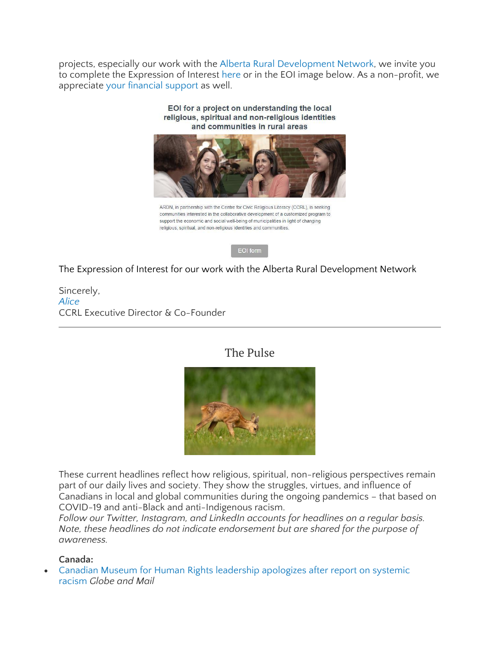projects, especially our work with the Alberta Rural [Development](https://www.ardn.ca/) Network, we invite you to complete the Expression of Interest [here](https://docs.google.com/forms/d/e/1FAIpQLSfJRtIWkef3Phsm995-z3L96R0CKGto2AwJYeVk8D_QrFKyAg/viewform) or in the EOI image below. As a non-profit, we appreciate your [financial](https://ccrl-clrc.ca/support-us/) support as well.

EOI for a project on understanding the local



ARDN, in partnership with the Centre for Civic Religious Literacy (CCRL), is seeking communities interested in the collaborative development of a customized program to support the economic and social well-being of municipalities in light of changing religious, spiritual, and non-religious identities and communities.

EOI form

The Expression of Interest for our work with the Alberta Rural Development Network

Sincerely, *[Alice](https://ccrl-clrc.ca/alice-chan/)* CCRL Executive Director & Co-Founder

## The Pulse



These current headlines reflect how religious, spiritual, non-religious perspectives remain part of our daily lives and society. They show the struggles, virtues, and influence of Canadians in local and global communities during the ongoing pandemics – that based on COVID-19 and anti-Black and anti-Indigenous racism.

*Follow our Twitter, Instagram, and LinkedIn accounts for headlines on a regular basis. Note, these headlines do not indicate endorsement but are shared for the purpose of awareness.*

#### **Canada:**

• Canadian Museum for Human Rights leadership [apologizes](https://www.theglobeandmail.com/canada/article-canadian-museum-for-human-rights-leadership-apologizes-following/) after report on systemic [racism](https://www.theglobeandmail.com/canada/article-canadian-museum-for-human-rights-leadership-apologizes-following/) *Globe and Mail*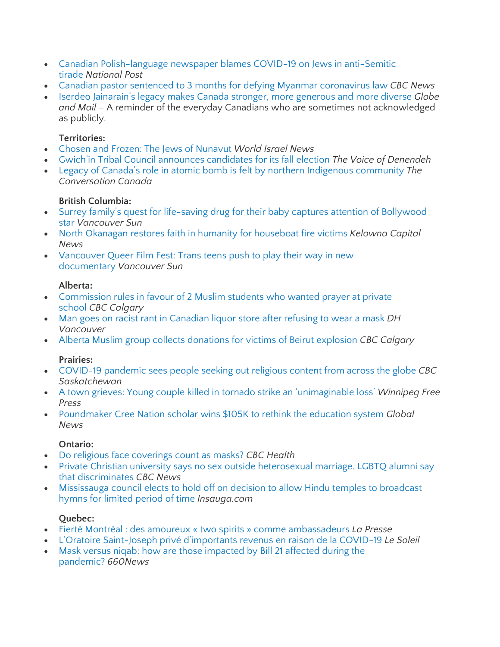- Canadian [Polish-language](https://nationalpost.com/news/canada/newspaper-tied-to-government-funded-polish-group-blames-covid-19-on-jews-in-anti-semitic-tirade) newspaper blames COVID-19 on Jews in anti-Semitic [tirade](https://nationalpost.com/news/canada/newspaper-tied-to-government-funded-polish-group-blames-covid-19-on-jews-in-anti-semitic-tirade) *National Post*
- Canadian pastor sentenced to 3 months for defying Myanmar [coronavirus](https://www.cbc.ca/news/world/myanmar-canadian-pastor-jailed-1.5676124) law *CBC News*
- Iserdeo [Jainarain's](https://www.theglobeandmail.com/life/article-iserdeo-jainarains-legacy-makes-canada-stronger-more-generous-and/) legacy makes Canada stronger, more generous and more diverse *Globe and Mail* – A reminder of the everyday Canadians who are sometimes not acknowledged as publicly.

#### **Territories:**

- Chosen and Frozen: The Jews of [Nunavut](https://worldisraelnews.com/chosen-and-frozen-the-jews-of-nunavut/) *World Israel News*
- Gwich'in Tribal Council [announces](https://cklbradio.com/2020/08/07/gwichin-tribal-council-announces-candidates-for-its-fall-election/) candidates for its fall election *The Voice of Denendeh*
- Legacy of Canada's role in atomic bomb is felt by northern Indigenous [community](https://theconversation.com/legacy-of-canadas-role-in-atomic-bomb-is-felt-by-northern-indigenous-community-143524) *The Conversation Canada*

## **British Columbia:**

- Surrey family's quest for life-saving drug for their baby captures attention of [Bollywood](https://vancouversun.com/news/local-news/surrey-familys-quest-for-life-saving-drug-for-their-baby-captures-attention-of-bollywood-star) [star](https://vancouversun.com/news/local-news/surrey-familys-quest-for-life-saving-drug-for-their-baby-captures-attention-of-bollywood-star) *Vancouver Sun*
- North Okanagan restores faith in humanity for [houseboat](https://www.kelownacapnews.com/news/north-okanagan-restores-faith-in-humanity-for-houseboat-fire-victims/) fire victims *Kelowna Capital News*
- [Vancouver](https://vancouversun.com/entertainment/movies/vancouver-queer-film-fest-trans-teens-push-to-play-their-way-in-new-documentary) Queer Film Fest: Trans teens push to play their way in new [documentary](https://vancouversun.com/entertainment/movies/vancouver-queer-film-fest-trans-teens-push-to-play-their-way-in-new-documentary) *Vancouver Sun*

#### **Alberta:**

- [Commission](https://www.cbc.ca/news/canada/calgary/alberta-human-rights-private-school-webber-academy-wins-court-1.5678573) rules in favour of 2 Muslim students who wanted prayer at private [school](https://www.cbc.ca/news/canada/calgary/alberta-human-rights-private-school-webber-academy-wins-court-1.5678573) *CBC Calgary*
- Man goes on racist rant in [Canadian](https://dailyhive.com/vancouver/racist-rant-edmonton-liquor-store-refusing-wear-mask) liquor store after refusing to wear a mask *DH Vancouver*
- Alberta Muslim group collects [donations](https://www.cbc.ca/news/canada/calgary/calgary-lebanon-donations-1.5679821) for victims of Beirut explosion *CBC Calgary*

## **Prairies:**

- [COVID-19](https://www.cbc.ca/news/canada/saskatchewan/pandemic-religion-saskatchewan-1.5675519) pandemic sees people seeking out religious content from across the globe *CBC Saskatchewan*
- A town grieves: Young couple killed in tornado strike an ['unimaginable](https://www.winnipegfreepress.com/local/a-town-grieves-572061502.html) loss' *Winnipeg Free Press*
- [Poundmaker](https://globalnews.ca/news/7257532/poundmaker-cree-nation-scholar-education-system/) Cree Nation scholar wins \$105K to rethink the education system *Global News*

## **Ontario:**

- Do religious face [coverings](https://www.cbc.ca/news/health/religious-face-coverings-covid-questions-answered-1.5657670) count as masks? *CBC Health*
- Private Christian university says no sex outside [heterosexual](https://www.cbc.ca/news/canada/hamilton/redeemer-university-discrimination-lgbtq-1.5651627) marriage. LGBTQ alumni say that [discriminates](https://www.cbc.ca/news/canada/hamilton/redeemer-university-discrimination-lgbtq-1.5651627) *CBC News*
- [Mississauga](https://www.insauga.com/mississauga-council-elects-to-hold-off-on-decision-to-allow-hindu-temples-to-broadcast-hymns-for-lim) council elects to hold off on decision to allow Hindu temples to broadcast hymns for [limited](https://www.insauga.com/mississauga-council-elects-to-hold-off-on-decision-to-allow-hindu-temples-to-broadcast-hymns-for-lim) period of time *Insauga.com*

## **Quebec:**

- Fierté Montréal : des amoureux « two spirits » comme [ambassadeurs](https://www.lapresse.ca/societe/2020-08-10/fierte-montreal-des-amoureux-two-spirits-comme-ambassadeurs.php) *La Presse*
- L'Oratoire [Saint-Joseph](https://www.lesoleil.com/actualite/loratoire-saint-joseph-prive-dimportants-revenus-en-raison-de-la-covid-19-20be0a806a0fc05199a19c69bb7e4d68) privé d'importants revenus en raison de la COVID-19 *Le Soleil*
- Mask versus niqab: how are those [impacted](https://www.660citynews.com/2020/07/20/mask-versus-niqab-how-are-those-impacted-by-bill-21-affected-during-the-pandemic/) by Bill 21 affected during the [pandemic?](https://www.660citynews.com/2020/07/20/mask-versus-niqab-how-are-those-impacted-by-bill-21-affected-during-the-pandemic/) *660News*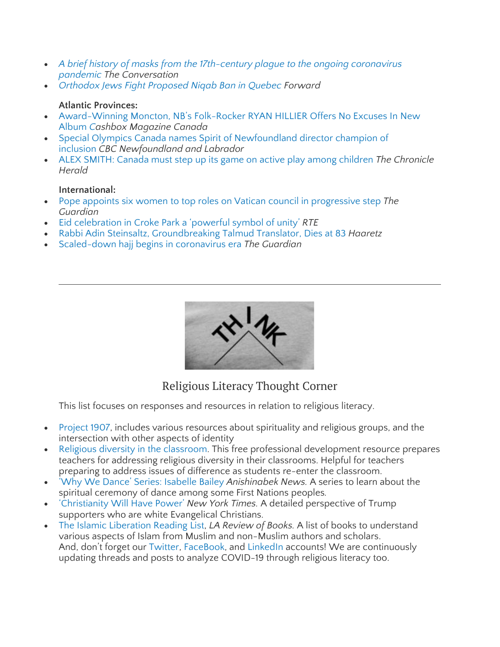- *A brief history of masks from the [17th-century](https://theconversation.com/a-brief-history-of-masks-from-the-17th-century-plague-to-the-ongoing-coronavirus-pandemic-142959) plague to the ongoing coronavirus [pandemic](https://theconversation.com/a-brief-history-of-masks-from-the-17th-century-plague-to-the-ongoing-coronavirus-pandemic-142959) The Conversation*
- *[Orthodox](https://forward.com/schmooze/132374/orthodox-jews-fight-proposed-niqab-ban-in-quebec/) Jews Fight Proposed Niqab Ban in Quebec Forward*

#### **Atlantic Provinces:**

- [Award-Winning](https://cashboxcanada.ca/reviews-album/award-winning-moncton-nbs-folk-rocker-ryan-hillier-offers-no-excuses-new-album/4077) Moncton, NB's Folk-Rocker RYAN HILLIER Offers No Excuses In New [Album](https://cashboxcanada.ca/reviews-album/award-winning-moncton-nbs-folk-rocker-ryan-hillier-offers-no-excuses-new-album/4077) *Cashbox Magazine Canada*
- Special Olympics Canada names Spirit of [Newfoundland](https://www.cbc.ca/news/canada/newfoundland-labrador/peter-halley-special-olympics-champion-of-inclusion-1.5679434) director champion of [inclusion](https://www.cbc.ca/news/canada/newfoundland-labrador/peter-halley-special-olympics-champion-of-inclusion-1.5679434) *CBC Newfoundland and Labrador*
- ALEX SMITH: Canada must step up its game on active play among [children](https://www.thechronicleherald.ca/opinion/local-perspectives/alex-smith-canada-must-step-up-its-game-on-active-play-among-children-481108/) *The Chronicle Herald*

#### **International:**

- Pope appoints six women to top roles on Vatican council in [progressive](https://www.theguardian.com/world/2020/aug/06/pope-appoints-six-women-to-top-roles-on-vatican-council-in-progressive-step#:~:text=Pope%20Francis%20has%20appointed%20six,within%20the%20Catholic%20church) step *The Guardian*
- Eid [celebration](https://www.rte.ie/news/2020/0731/1156594-eid-croke-park/) in Croke Park a 'powerful symbol of unity' *RTE*
- Rabbi Adin Steinsaltz, [Groundbreaking](https://www.haaretz.com/israel-news/rabbi-adin-steinsaltz-groundbreaking-talmud-translator-dies-at-83-1.9055017) Talmud Translator, Dies at 83 *Haaretz*
- [Scaled-down](https://www.theguardian.com/world/gallery/2020/jul/30/scaled-down-hajj-begins-in-coronavirus-era-in-pictures) hajj begins in coronavirus era *The Guardian*



## Religious Literacy Thought Corner

This list focuses on responses and resources in relation to religious literacy.

- [Project](https://www.project1907.org/resources) 1907, includes various resources about spirituality and religious groups, and the intersection with other aspects of identity
- Religious diversity in the [classroom.](https://www.tolerance.org/professional-development/religious-diversity-in-the-classroom) This free professional development resource prepares teachers for addressing religious diversity in their classrooms. Helpful for teachers preparing to address issues of difference as students re-enter the classroom.
- 'Why We Dance' Series: [Isabelle](https://anishinabeknews.ca/2020/07/24/why-we-dance-series-isabelle-bailey/) Bailey *Anishinabek News.* A series to learn about the spiritual ceremony of dance among some First Nations peoples*.*
- ['Christianity](https://nyti.ms/2PBIZfJ) Will Have Power' *New York Times.* A detailed perspective of Trump supporters who are white Evangelical Christians.
- The Islamic [Liberation](https://lareviewofbooks.org/short-takes/islamic-liberation-reading-list/?fbclid=IwAR2QvTiEXll1mspU6m3c79G2aiA0DQhlpNUi5v3OQQ75tDCHEi01uWQliUY) Reading List, *LA Review of Books.* A list of books to understand various aspects of Islam from Muslim and non-Muslim authors and scholars. And, don't forget our [Twitter,](https://twitter.com/CcrlClrc) [FaceBook,](https://www.facebook.com/ccrlclrc) and [LinkedIn](https://www.linkedin.com/company/ccrl-clrc/) accounts! We are continuously updating threads and posts to analyze COVID-19 through religious literacy too.